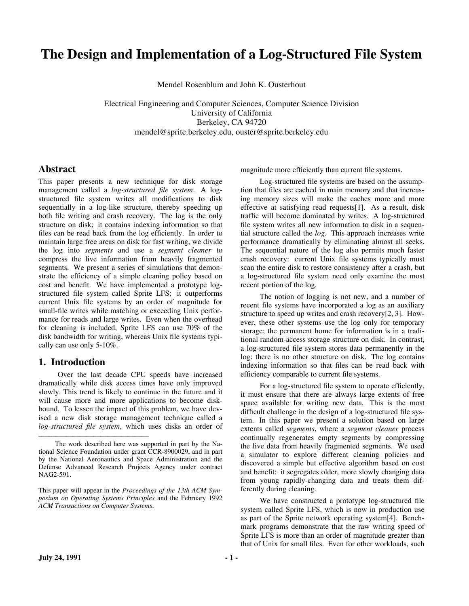# **The Design and Implementation of a Log-Structured File System**

Mendel Rosenblum and John K. Ousterhout

Electrical Engineering and Computer Sciences, Computer Science Division University of California Berkeley, CA 94720 mendel@sprite.berkeley.edu, ouster@sprite.berkeley.edu

# **Abstract**

This paper presents a new technique for disk storage management called a *log-structured file system*. A logstructured file system writes all modifications to disk sequentially in a log-like structure, thereby speeding up both file writing and crash recovery. The log is the only structure on disk; it contains indexing information so that files can be read back from the log efficiently. In order to maintain large free areas on disk for fast writing, we divide the log into *segments* and use a *segment cleaner* to compress the live information from heavily fragmented segments. We present a series of simulations that demonstrate the efficiency of a simple cleaning policy based on cost and benefit. We have implemented a prototype logstructured file system called Sprite LFS; it outperforms current Unix file systems by an order of magnitude for small-file writes while matching or exceeding Unix performance for reads and large writes. Even when the overhead for cleaning is included, Sprite LFS can use 70% of the disk bandwidth for writing, whereas Unix file systems typically can use only 5-10%.

# **1. Introduction**

Over the last decade CPU speeds have increased dramatically while disk access times have only improved slowly. This trend is likely to continue in the future and it will cause more and more applications to become diskbound. To lessen the impact of this problem, we have devised a new disk storage management technique called a *log-structured file system*, which uses disks an order of

magnitude more efficiently than current file systems.

Log-structured file systems are based on the assumption that files are cached in main memory and that increasing memory sizes will make the caches more and more effective at satisfying read requests[1]. As a result, disk traffic will become dominated by writes. A log-structured file system writes all new information to disk in a sequential structure called the *log*. This approach increases write performance dramatically by eliminating almost all seeks. The sequential nature of the log also permits much faster crash recovery: current Unix file systems typically must scan the entire disk to restore consistency after a crash, but a log-structured file system need only examine the most recent portion of the log.

The notion of logging is not new, and a number of recent file systems have incorporated a log as an auxiliary structure to speed up writes and crash recovery[2, 3]. However, these other systems use the log only for temporary storage; the permanent home for information is in a traditional random-access storage structure on disk. In contrast, a log-structured file system stores data permanently in the log: there is no other structure on disk. The log contains indexing information so that files can be read back with efficiency comparable to current file systems.

For a log-structured file system to operate efficiently, it must ensure that there are always large extents of free space available for writing new data. This is the most difficult challenge in the design of a log-structured file system. In this paper we present a solution based on large extents called *segments*, where a *segment cleaner* process continually regenerates empty segments by compressing the live data from heavily fragmented segments. We used a simulator to explore different cleaning policies and discovered a simple but effective algorithm based on cost and benefit: it segregates older, more slowly changing data from young rapidly-changing data and treats them differently during cleaning.

We have constructed a prototype log-structured file system called Sprite LFS, which is now in production use as part of the Sprite network operating system[4]. Benchmark programs demonstrate that the raw writing speed of Sprite LFS is more than an order of magnitude greater than that of Unix for small files. Even for other workloads, such

The work described here was supported in part by the National Science Foundation under grant CCR-8900029, and in part by the National Aeronautics and Space Administration and the Defense Advanced Research Projects Agency under contract NAG2-591.

This paper will appear in the *Proceedings of the 13th ACM Symposium on Operating Systems Principles* and the February 1992 *ACM Transactions on Computer Systems*.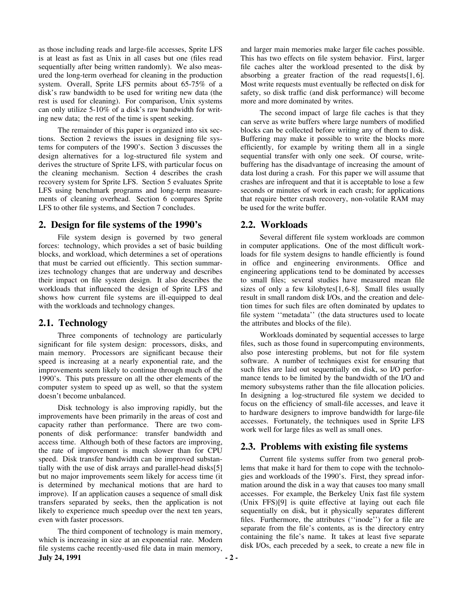as those including reads and large-file accesses, Sprite LFS is at least as fast as Unix in all cases but one (files read sequentially after being written randomly). We also measured the long-term overhead for cleaning in the production system. Overall, Sprite LFS permits about 65-75% of a disk's raw bandwidth to be used for writing new data (the rest is used for cleaning). For comparison, Unix systems can only utilize 5-10% of a disk's raw bandwidth for writing new data; the rest of the time is spent seeking.

The remainder of this paper is organized into six sections. Section 2 reviews the issues in designing file systems for computers of the 1990's. Section 3 discusses the design alternatives for a log-structured file system and derives the structure of Sprite LFS, with particular focus on the cleaning mechanism. Section 4 describes the crash recovery system for Sprite LFS. Section 5 evaluates Sprite LFS using benchmark programs and long-term measurements of cleaning overhead. Section 6 compares Sprite LFS to other file systems, and Section 7 concludes.

#### **2. Design for file systems of the 1990's**

File system design is governed by two general forces: technology, which provides a set of basic building blocks, and workload, which determines a set of operations that must be carried out efficiently. This section summarizes technology changes that are underway and describes their impact on file system design. It also describes the workloads that influenced the design of Sprite LFS and shows how current file systems are ill-equipped to deal with the workloads and technology changes.

#### **2.1. Technology**

Three components of technology are particularly significant for file system design: processors, disks, and main memory. Processors are significant because their speed is increasing at a nearly exponential rate, and the improvements seem likely to continue through much of the 1990's. This puts pressure on all the other elements of the computer system to speed up as well, so that the system doesn't become unbalanced.

Disk technology is also improving rapidly, but the improvements have been primarily in the areas of cost and capacity rather than performance. There are two components of disk performance: transfer bandwidth and access time. Although both of these factors are improving, the rate of improvement is much slower than for CPU speed. Disk transfer bandwidth can be improved substantially with the use of disk arrays and parallel-head disks[5] but no major improvements seem likely for access time (it is determined by mechanical motions that are hard to improve). If an application causes a sequence of small disk transfers separated by seeks, then the application is not likely to experience much speedup over the next ten years, even with faster processors.

The third component of technology is main memory, which is increasing in size at an exponential rate. Modern file systems cache recently-used file data in main memory, **July 24, 1991** - 2 -

and larger main memories make larger file caches possible. This has two effects on file system behavior. First, larger file caches alter the workload presented to the disk by absorbing a greater fraction of the read requests[1, 6]. Most write requests must eventually be reflected on disk for safety, so disk traffic (and disk performance) will become more and more dominated by writes.

The second impact of large file caches is that they can serve as write buffers where large numbers of modified blocks can be collected before writing any of them to disk. Buffering may make it possible to write the blocks more efficiently, for example by writing them all in a single sequential transfer with only one seek. Of course, writebuffering has the disadvantage of increasing the amount of data lost during a crash. For this paper we will assume that crashes are infrequent and that it is acceptable to lose a few seconds or minutes of work in each crash; for applications that require better crash recovery, non-volatile RAM may be used for the write buffer.

### **2.2. Workloads**

Several different file system workloads are common in computer applications. One of the most difficult workloads for file system designs to handle efficiently is found in office and engineering environments. Office and engineering applications tend to be dominated by accesses to small files; several studies have measured mean file sizes of only a few kilobytes[1, 6-8]. Small files usually result in small random disk I/Os, and the creation and deletion times for such files are often dominated by updates to file system ''metadata'' (the data structures used to locate the attributes and blocks of the file).

Workloads dominated by sequential accesses to large files, such as those found in supercomputing environments, also pose interesting problems, but not for file system software. A number of techniques exist for ensuring that such files are laid out sequentially on disk, so I/O performance tends to be limited by the bandwidth of the I/O and memory subsystems rather than the file allocation policies. In designing a log-structured file system we decided to focus on the efficiency of small-file accesses, and leave it to hardware designers to improve bandwidth for large-file accesses. Fortunately, the techniques used in Sprite LFS work well for large files as well as small ones.

### **2.3. Problems with existing file systems**

Current file systems suffer from two general problems that make it hard for them to cope with the technologies and workloads of the 1990's. First, they spread information around the disk in a way that causes too many small accesses. For example, the Berkeley Unix fast file system (Unix FFS)[9] is quite effective at laying out each file sequentially on disk, but it physically separates different files. Furthermore, the attributes ("inode") for a file are separate from the file's contents, as is the directory entry containing the file's name. It takes at least five separate disk I/Os, each preceded by a seek, to create a new file in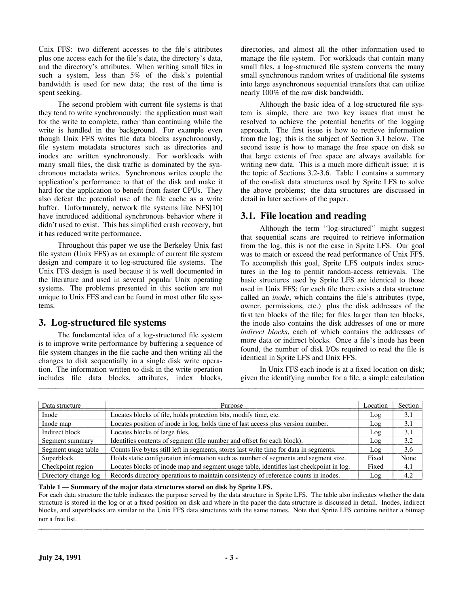Unix FFS: two different accesses to the file's attributes plus one access each for the file's data, the directory's data, and the directory's attributes. When writing small files in such a system, less than 5% of the disk's potential bandwidth is used for new data; the rest of the time is spent seeking.

The second problem with current file systems is that they tend to write synchronously: the application must wait for the write to complete, rather than continuing while the write is handled in the background. For example even though Unix FFS writes file data blocks asynchronously, file system metadata structures such as directories and inodes are written synchronously. For workloads with many small files, the disk traffic is dominated by the synchronous metadata writes. Synchronous writes couple the application's performance to that of the disk and make it hard for the application to benefit from faster CPUs. They also defeat the potential use of the file cache as a write buffer. Unfortunately, network file systems like NFS[10] have introduced additional synchronous behavior where it didn't used to exist. This has simplified crash recovery, but it has reduced write performance.

Throughout this paper we use the Berkeley Unix fast file system (Unix FFS) as an example of current file system design and compare it to log-structured file systems. The Unix FFS design is used because it is well documented in the literature and used in several popular Unix operating systems. The problems presented in this section are not unique to Unix FFS and can be found in most other file systems.

### **3. Log-structured file systems**

The fundamental idea of a log-structured file system is to improve write performance by buffering a sequence of file system changes in the file cache and then writing all the changes to disk sequentially in a single disk write operation. The information written to disk in the write operation includes file data blocks, attributes, index blocks, directories, and almost all the other information used to manage the file system. For workloads that contain many small files, a log-structured file system converts the many small synchronous random writes of traditional file systems into large asynchronous sequential transfers that can utilize nearly 100% of the raw disk bandwidth.

Although the basic idea of a log-structured file system is simple, there are two key issues that must be resolved to achieve the potential benefits of the logging approach. The first issue is how to retrieve information from the log; this is the subject of Section 3.1 below. The second issue is how to manage the free space on disk so that large extents of free space are always available for writing new data. This is a much more difficult issue; it is the topic of Sections 3.2-3.6. Table 1 contains a summary of the on-disk data structures used by Sprite LFS to solve the above problems; the data structures are discussed in detail in later sections of the paper.

# **3.1. File location and reading**

Although the term ''log-structured'' might suggest that sequential scans are required to retrieve information from the log, this is not the case in Sprite LFS. Our goal was to match or exceed the read performance of Unix FFS. To accomplish this goal, Sprite LFS outputs index structures in the log to permit random-access retrievals. The basic structures used by Sprite LFS are identical to those used in Unix FFS: for each file there exists a data structure called an *inode*, which contains the file's attributes (type, owner, permissions, etc.) plus the disk addresses of the first ten blocks of the file; for files larger than ten blocks, the inode also contains the disk addresses of one or more *indirect blocks*, each of which contains the addresses of more data or indirect blocks. Once a file's inode has been found, the number of disk I/Os required to read the file is identical in Sprite LFS and Unix FFS.

In Unix FFS each inode is at a fixed location on disk; given the identifying number for a file, a simple calculation

| Data structure       | Purpose                                                                                 | Location | Section |
|----------------------|-----------------------------------------------------------------------------------------|----------|---------|
| Inode                | Locates blocks of file, holds protection bits, modify time, etc.                        | Log      | 3.1     |
| Inode map            | Locates position of inode in log, holds time of last access plus version number.        | Log      | 3.1     |
| Indirect block       | Locates blocks of large files.                                                          | Log      | 3.1     |
| Segment summary      | Identifies contents of segment (file number and offset for each block).                 | Log      | 3.2     |
| Segment usage table  | Counts live bytes still left in segments, stores last write time for data in segments.  | Log      | 3.6     |
| Superblock           | Holds static configuration information such as number of segments and segment size.     | Fixed    | None    |
| Checkpoint region    | Locates blocks of inode map and segment usage table, identifies last checkpoint in log. | Fixed    | 4.1     |
| Directory change log | Records directory operations to maintain consistency of reference counts in inodes.     | Log      | 4.2     |

**Table 1 — Summary of the major data structures stored on disk by Sprite LFS.**

For each data structure the table indicates the purpose served by the data structure in Sprite LFS. The table also indicates whether the data structure is stored in the log or at a fixed position on disk and where in the paper the data structure is discussed in detail. Inodes, indirect blocks, and superblocks are similar to the Unix FFS data structures with the same names. Note that Sprite LFS contains neither a bitmap nor a free list.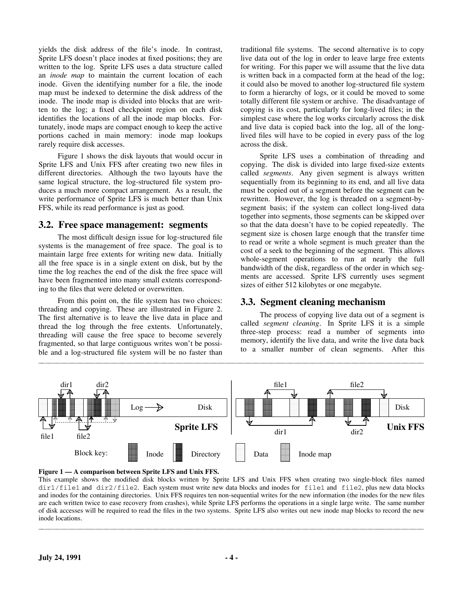yields the disk address of the file's inode. In contrast, Sprite LFS doesn't place inodes at fixed positions; they are written to the log. Sprite LFS uses a data structure called an *inode map* to maintain the current location of each inode. Given the identifying number for a file, the inode map must be indexed to determine the disk address of the inode. The inode map is divided into blocks that are written to the log; a fixed checkpoint region on each disk identifies the locations of all the inode map blocks. Fortunately, inode maps are compact enough to keep the active portions cached in main memory: inode map lookups rarely require disk accesses.

Figure 1 shows the disk layouts that would occur in Sprite LFS and Unix FFS after creating two new files in different directories. Although the two layouts have the same logical structure, the log-structured file system produces a much more compact arrangement. As a result, the write performance of Sprite LFS is much better than Unix FFS, while its read performance is just as good.

#### **3.2. Free space management: segments**

The most difficult design issue for log-structured file systems is the management of free space. The goal is to maintain large free extents for writing new data. Initially all the free space is in a single extent on disk, but by the time the log reaches the end of the disk the free space will have been fragmented into many small extents corresponding to the files that were deleted or overwritten.

From this point on, the file system has two choices: threading and copying. These are illustrated in Figure 2. The first alternative is to leave the live data in place and thread the log through the free extents. Unfortunately, threading will cause the free space to become severely fragmented, so that large contiguous writes won't be possible and a log-structured file system will be no faster than traditional file systems. The second alternative is to copy live data out of the log in order to leave large free extents for writing. For this paper we will assume that the live data is written back in a compacted form at the head of the log; it could also be moved to another log-structured file system to form a hierarchy of logs, or it could be moved to some totally different file system or archive. The disadvantage of copying is its cost, particularly for long-lived files; in the simplest case where the log works circularly across the disk and live data is copied back into the log, all of the longlived files will have to be copied in every pass of the log across the disk.

Sprite LFS uses a combination of threading and copying. The disk is divided into large fixed-size extents called *segments*. Any given segment is always written sequentially from its beginning to its end, and all live data must be copied out of a segment before the segment can be rewritten. However, the log is threaded on a segment-bysegment basis; if the system can collect long-lived data together into segments, those segments can be skipped over so that the data doesn't have to be copied repeatedly. The segment size is chosen large enough that the transfer time to read or write a whole segment is much greater than the cost of a seek to the beginning of the segment. This allows whole-segment operations to run at nearly the full bandwidth of the disk, regardless of the order in which segments are accessed. Sprite LFS currently uses segment sizes of either 512 kilobytes or one megabyte.

# **3.3. Segment cleaning mechanism**

The process of copying live data out of a segment is called *segment cleaning*. In Sprite LFS it is a simple three-step process: read a number of segments into memory, identify the live data, and write the live data back to a smaller number of clean segments. After this





This example shows the modified disk blocks written by Sprite LFS and Unix FFS when creating two single-block files named dir1/file1 and dir2/file2. Each system must write new data blocks and inodes for file1 and file2, plus new data blocks and inodes for the containing directories. Unix FFS requires ten non-sequential writes for the new information (the inodes for the new files are each written twice to ease recovery from crashes), while Sprite LFS performs the operations in a single large write. The same number of disk accesses will be required to read the files in the two systems. Sprite LFS also writes out new inode map blocks to record the new inode locations.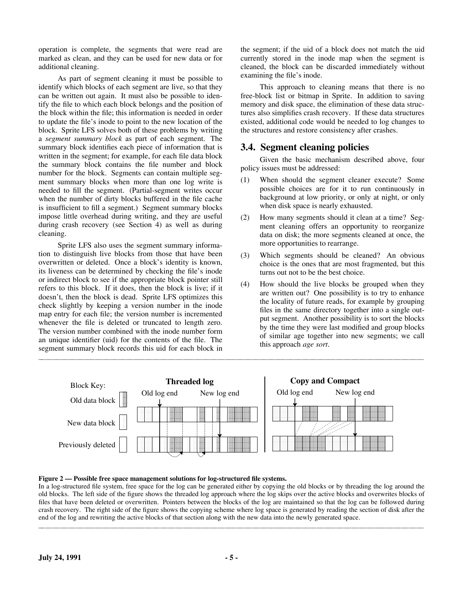operation is complete, the segments that were read are marked as clean, and they can be used for new data or for additional cleaning.

As part of segment cleaning it must be possible to identify which blocks of each segment are live, so that they can be written out again. It must also be possible to identify the file to which each block belongs and the position of the block within the file; this information is needed in order to update the file's inode to point to the new location of the block. Sprite LFS solves both of these problems by writing a *segment summary block* as part of each segment. The summary block identifies each piece of information that is written in the segment; for example, for each file data block the summary block contains the file number and block number for the block. Segments can contain multiple segment summary blocks when more than one log write is needed to fill the segment. (Partial-segment writes occur when the number of dirty blocks buffered in the file cache is insufficient to fill a segment.) Segment summary blocks impose little overhead during writing, and they are useful during crash recovery (see Section 4) as well as during cleaning.

Sprite LFS also uses the segment summary information to distinguish live blocks from those that have been overwritten or deleted. Once a block's identity is known, its liveness can be determined by checking the file's inode or indirect block to see if the appropriate block pointer still refers to this block. If it does, then the block is live; if it doesn't, then the block is dead. Sprite LFS optimizes this check slightly by keeping a version number in the inode map entry for each file; the version number is incremented whenever the file is deleted or truncated to length zero. The version number combined with the inode number form an unique identifier (uid) for the contents of the file. The segment summary block records this uid for each block in the segment; if the uid of a block does not match the uid currently stored in the inode map when the segment is cleaned, the block can be discarded immediately without examining the file's inode.

This approach to cleaning means that there is no free-block list or bitmap in Sprite. In addition to saving memory and disk space, the elimination of these data structures also simplifies crash recovery. If these data structures existed, additional code would be needed to log changes to the structures and restore consistency after crashes.

# **3.4. Segment cleaning policies**

Given the basic mechanism described above, four policy issues must be addressed:

- (1) When should the segment cleaner execute? Some possible choices are for it to run continuously in background at low priority, or only at night, or only when disk space is nearly exhausted.
- (2) How many segments should it clean at a time? Segment cleaning offers an opportunity to reorganize data on disk; the more segments cleaned at once, the more opportunities to rearrange.
- (3) Which segments should be cleaned? An obvious choice is the ones that are most fragmented, but this turns out not to be the best choice.
- (4) How should the live blocks be grouped when they are written out? One possibility is to try to enhance the locality of future reads, for example by grouping files in the same directory together into a single output segment. Another possibility is to sort the blocks by the time they were last modified and group blocks of similar age together into new segments; we call this approach *age sort*.



#### **Figure 2 — Possible free space management solutions for log-structured file systems.**

In a log-structured file system, free space for the log can be generated either by copying the old blocks or by threading the log around the old blocks. The left side of the figure shows the threaded log approach where the log skips over the active blocks and overwrites blocks of files that have been deleted or overwritten. Pointers between the blocks of the log are maintained so that the log can be followed during crash recovery. The right side of the figure shows the copying scheme where log space is generated by reading the section of disk after the end of the log and rewriting the active blocks of that section along with the new data into the newly generated space.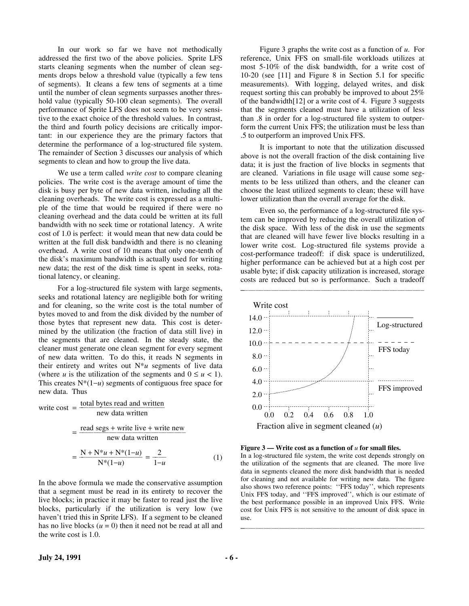In our work so far we have not methodically addressed the first two of the above policies. Sprite LFS starts cleaning segments when the number of clean segments drops below a threshold value (typically a few tens of segments). It cleans a few tens of segments at a time until the number of clean segments surpasses another threshold value (typically 50-100 clean segments). The overall performance of Sprite LFS does not seem to be very sensitive to the exact choice of the threshold values. In contrast, the third and fourth policy decisions are critically important: in our experience they are the primary factors that determine the performance of a log-structured file system. The remainder of Section 3 discusses our analysis of which segments to clean and how to group the live data.

We use a term called *write cost* to compare cleaning policies. The write cost is the average amount of time the disk is busy per byte of new data written, including all the cleaning overheads. The write cost is expressed as a multiple of the time that would be required if there were no cleaning overhead and the data could be written at its full bandwidth with no seek time or rotational latency. A write cost of 1.0 is perfect: it would mean that new data could be written at the full disk bandwidth and there is no cleaning overhead. A write cost of 10 means that only one-tenth of the disk's maximum bandwidth is actually used for writing new data; the rest of the disk time is spent in seeks, rotational latency, or cleaning.

For a log-structured file system with large segments, seeks and rotational latency are negligible both for writing and for cleaning, so the write cost is the total number of bytes moved to and from the disk divided by the number of those bytes that represent new data. This cost is determined by the utilization (the fraction of data still live) in the segments that are cleaned. In the steady state, the cleaner must generate one clean segment for every segment of new data written. To do this, it reads N segments in their entirety and writes out N\**u* segments of live data (where *u* is the utilization of the segments and  $0 \le u < 1$ ). This creates N\*(1−*u*) segments of contiguous free space for new data. Thus

write  $\text{cost} = \frac{\text{total bytes read and written}}{\text{new data written}}$ new data written read segs + write live + write new

$$
=\frac{N + N^*u + N^*(1-u)}{N^*(1-u)} = \frac{2}{1-u}
$$
 (1)

In the above formula we made the conservative assumption that a segment must be read in its entirety to recover the live blocks; in practice it may be faster to read just the live blocks, particularly if the utilization is very low (we haven't tried this in Sprite LFS). If a segment to be cleaned has no live blocks  $(u = 0)$  then it need not be read at all and the write cost is 1.0.

Figure 3 graphs the write cost as a function of *u*. For reference, Unix FFS on small-file workloads utilizes at most 5-10% of the disk bandwidth, for a write cost of 10-20 (see [11] and Figure 8 in Section 5.1 for specific measurements). With logging, delayed writes, and disk request sorting this can probably be improved to about 25% of the bandwidth[12] or a write cost of 4. Figure 3 suggests that the segments cleaned must have a utilization of less than .8 in order for a log-structured file system to outperform the current Unix FFS; the utilization must be less than .5 to outperform an improved Unix FFS.

It is important to note that the utilization discussed above is not the overall fraction of the disk containing live data; it is just the fraction of live blocks in segments that are cleaned. Variations in file usage will cause some segments to be less utilized than others, and the cleaner can choose the least utilized segments to clean; these will have lower utilization than the overall average for the disk.

Even so, the performance of a log-structured file system can be improved by reducing the overall utilization of the disk space. With less of the disk in use the segments that are cleaned will have fewer live blocks resulting in a lower write cost. Log-structured file systems provide a cost-performance tradeoff: if disk space is underutilized, higher performance can be achieved but at a high cost per usable byte; if disk capacity utilization is increased, storage costs are reduced but so is performance. Such a tradeoff



**Figure 3** — Write cost as a function of  $u$  for small files.

In a log-structured file system, the write cost depends strongly on the utilization of the segments that are cleaned. The more live data in segments cleaned the more disk bandwidth that is needed for cleaning and not available for writing new data. The figure also shows two reference points: ''FFS today'', which represents Unix FFS today, and ''FFS improved'', which is our estimate of the best performance possible in an improved Unix FFS. Write cost for Unix FFS is not sensitive to the amount of disk space in use.

<u> 2008 - Jan James James James James James James James James James James James James James James James James J</u>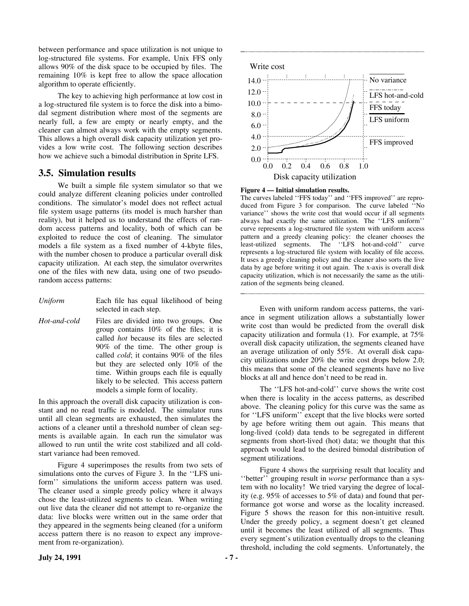between performance and space utilization is not unique to log-structured file systems. For example, Unix FFS only allows 90% of the disk space to be occupied by files. The remaining 10% is kept free to allow the space allocation algorithm to operate efficiently.

The key to achieving high performance at low cost in a log-structured file system is to force the disk into a bimodal segment distribution where most of the segments are nearly full, a few are empty or nearly empty, and the cleaner can almost always work with the empty segments. This allows a high overall disk capacity utilization yet provides a low write cost. The following section describes how we achieve such a bimodal distribution in Sprite LFS.

#### **3.5. Simulation results**

We built a simple file system simulator so that we could analyze different cleaning policies under controlled conditions. The simulator's model does not reflect actual file system usage patterns (its model is much harsher than reality), but it helped us to understand the effects of random access patterns and locality, both of which can be exploited to reduce the cost of cleaning. The simulator models a file system as a fixed number of 4-kbyte files, with the number chosen to produce a particular overall disk capacity utilization. At each step, the simulator overwrites one of the files with new data, using one of two pseudorandom access patterns:

*Uniform* Each file has equal likelihood of being selected in each step.

*Hot-and-cold* Files are divided into two groups. One group contains 10% of the files; it is called *hot* because its files are selected 90% of the time. The other group is called *cold*; it contains 90% of the files but they are selected only 10% of the time. Within groups each file is equally likely to be selected. This access pattern models a simple form of locality.

In this approach the overall disk capacity utilization is constant and no read traffic is modeled. The simulator runs until all clean segments are exhausted, then simulates the actions of a cleaner until a threshold number of clean segments is available again. In each run the simulator was allowed to run until the write cost stabilized and all coldstart variance had been removed.

Figure 4 superimposes the results from two sets of simulations onto the curves of Figure 3. In the ''LFS uniform'' simulations the uniform access pattern was used. The cleaner used a simple greedy policy where it always chose the least-utilized segments to clean. When writing out live data the cleaner did not attempt to re-organize the data: live blocks were written out in the same order that they appeared in the segments being cleaned (for a uniform access pattern there is no reason to expect any improvement from re-organization).





The curves labeled ''FFS today'' and ''FFS improved'' are reproduced from Figure 3 for comparison. The curve labeled ''No variance'' shows the write cost that would occur if all segments always had exactly the same utilization. The ''LFS uniform'' curve represents a log-structured file system with uniform access pattern and a greedy cleaning policy: the cleaner chooses the least-utilized segments. The ''LFS hot-and-cold'' curve represents a log-structured file system with locality of file access. It uses a greedy cleaning policy and the cleaner also sorts the live data by age before writing it out again. The x-axis is overall disk capacity utilization, which is not necessarily the same as the utilization of the segments being cleaned.

<u> 2008 - Jan James James James James James James James James James James James James James James James James J</u>

Even with uniform random access patterns, the variance in segment utilization allows a substantially lower write cost than would be predicted from the overall disk capacity utilization and formula (1). For example, at 75% overall disk capacity utilization, the segments cleaned have an average utilization of only 55%. At overall disk capacity utilizations under 20% the write cost drops below 2.0; this means that some of the cleaned segments have no live blocks at all and hence don't need to be read in.

The ''LFS hot-and-cold'' curve shows the write cost when there is locality in the access patterns, as described above. The cleaning policy for this curve was the same as for ''LFS uniform'' except that the live blocks were sorted by age before writing them out again. This means that long-lived (cold) data tends to be segregated in different segments from short-lived (hot) data; we thought that this approach would lead to the desired bimodal distribution of segment utilizations.

Figure 4 shows the surprising result that locality and ''better'' grouping result in *worse* performance than a system with no locality! We tried varying the degree of locality (e.g. 95% of accesses to 5% of data) and found that performance got worse and worse as the locality increased. Figure 5 shows the reason for this non-intuitive result. Under the greedy policy, a segment doesn't get cleaned until it becomes the least utilized of all segments. Thus every segment's utilization eventually drops to the cleaning threshold, including the cold segments. Unfortunately, the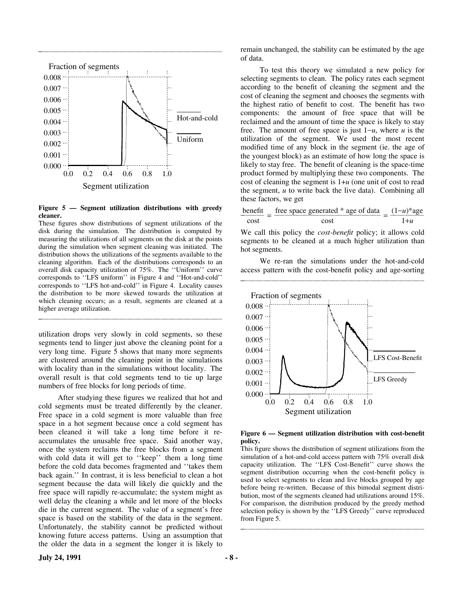

**Figure 5 — Segment utilization distributions with greedy cleaner.**

These figures show distributions of segment utilizations of the disk during the simulation. The distribution is computed by measuring the utilizations of all segments on the disk at the points during the simulation when segment cleaning was initiated. The distribution shows the utilizations of the segments available to the cleaning algorithm. Each of the distributions corresponds to an overall disk capacity utilization of 75%. The ''Uniform'' curve corresponds to ''LFS uniform'' in Figure 4 and ''Hot-and-cold'' corresponds to ''LFS hot-and-cold'' in Figure 4. Locality causes the distribution to be more skewed towards the utilization at which cleaning occurs; as a result, segments are cleaned at a higher average utilization.

utilization drops very slowly in cold segments, so these segments tend to linger just above the cleaning point for a very long time. Figure 5 shows that many more segments are clustered around the cleaning point in the simulations with locality than in the simulations without locality. The overall result is that cold segments tend to tie up large numbers of free blocks for long periods of time.

<u> La componenta de la componenta de la componenta de la componenta de la componenta de la componenta de la comp</u>

After studying these figures we realized that hot and cold segments must be treated differently by the cleaner. Free space in a cold segment is more valuable than free space in a hot segment because once a cold segment has been cleaned it will take a long time before it reaccumulates the unusable free space. Said another way, once the system reclaims the free blocks from a segment with cold data it will get to "keep" them a long time before the cold data becomes fragmented and ''takes them back again.'' In contrast, it is less beneficial to clean a hot segment because the data will likely die quickly and the free space will rapidly re-accumulate; the system might as well delay the cleaning a while and let more of the blocks die in the current segment. The value of a segment's free space is based on the stability of the data in the segment. Unfortunately, the stability cannot be predicted without knowing future access patterns. Using an assumption that the older the data in a segment the longer it is likely to

remain unchanged, the stability can be estimated by the age of data.

To test this theory we simulated a new policy for selecting segments to clean. The policy rates each segment according to the benefit of cleaning the segment and the cost of cleaning the segment and chooses the segments with the highest ratio of benefit to cost. The benefit has two components: the amount of free space that will be reclaimed and the amount of time the space is likely to stay free. The amount of free space is just 1−*u*, where *u* is the utilization of the segment. We used the most recent modified time of any block in the segment (ie. the age of the youngest block) as an estimate of how long the space is likely to stay free. The benefit of cleaning is the space-time product formed by multiplying these two components. The cost of cleaning the segment is 1+*u* (one unit of cost to read the segment, *u* to write back the live data). Combining all these factors, we get

| benefit     | free space generated * age of data $(1-u)^*$ age |       |
|-------------|--------------------------------------------------|-------|
| <b>cost</b> | cost                                             | $1+u$ |

We call this policy the *cost-benefit* policy; it allows cold segments to be cleaned at a much higher utilization than hot segments.

We re-ran the simulations under the hot-and-cold access pattern with the cost-benefit policy and age-sorting



**Figure 6 — Segment utilization distribution with cost-benefit policy.**

This figure shows the distribution of segment utilizations from the simulation of a hot-and-cold access pattern with 75% overall disk capacity utilization. The ''LFS Cost-Benefit'' curve shows the segment distribution occurring when the cost-benefit policy is used to select segments to clean and live blocks grouped by age before being re-written. Because of this bimodal segment distribution, most of the segments cleaned had utilizations around 15%. For comparison, the distribution produced by the greedy method selection policy is shown by the ''LFS Greedy'' curve reproduced from Figure 5.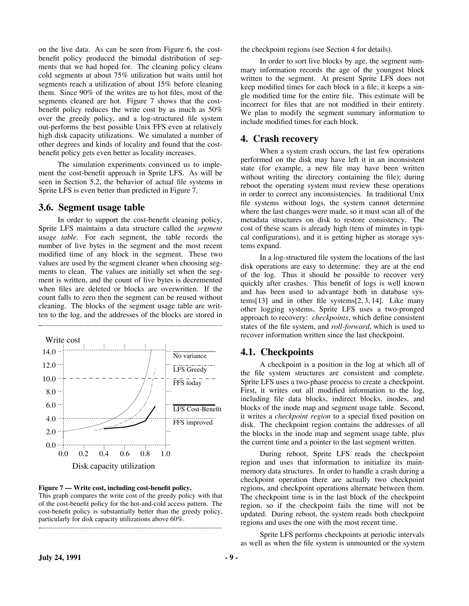on the live data. As can be seen from Figure 6, the costbenefit policy produced the bimodal distribution of segments that we had hoped for. The cleaning policy cleans cold segments at about 75% utilization but waits until hot segments reach a utilization of about 15% before cleaning them. Since 90% of the writes are to hot files, most of the segments cleaned are hot. Figure 7 shows that the costbenefit policy reduces the write cost by as much as 50% over the greedy policy, and a log-structured file system out-performs the best possible Unix FFS even at relatively high disk capacity utilizations. We simulated a number of other degrees and kinds of locality and found that the costbenefit policy gets even better as locality increases.

The simulation experiments convinced us to implement the cost-benefit approach in Sprite LFS. As will be seen in Section 5.2, the behavior of actual file systems in Sprite LFS is even better than predicted in Figure 7.

#### **3.6. Segment usage table**

In order to support the cost-benefit cleaning policy, Sprite LFS maintains a data structure called the *segment usage table*. For each segment, the table records the number of live bytes in the segment and the most recent modified time of any block in the segment. These two values are used by the segment cleaner when choosing segments to clean. The values are initially set when the segment is written, and the count of live bytes is decremented when files are deleted or blocks are overwritten. If the count falls to zero then the segment can be reused without cleaning. The blocks of the segment usage table are written to the log, and the addresses of the blocks are stored in



**Figure 7 — Write cost, including cost-benefit policy.**

This graph compares the write cost of the greedy policy with that of the cost-benefit policy for the hot-and-cold access pattern. The cost-benefit policy is substantially better than the greedy policy, particularly for disk capacity utilizations above 60%. 

the checkpoint regions (see Section 4 for details).

In order to sort live blocks by age, the segment summary information records the age of the youngest block written to the segment. At present Sprite LFS does not keep modified times for each block in a file; it keeps a single modified time for the entire file. This estimate will be incorrect for files that are not modified in their entirety. We plan to modify the segment summary information to include modified times for each block.

#### **4. Crash recovery**

When a system crash occurs, the last few operations performed on the disk may have left it in an inconsistent state (for example, a new file may have been written without writing the directory containing the file); during reboot the operating system must review these operations in order to correct any inconsistencies. In traditional Unix file systems without logs, the system cannot determine where the last changes were made, so it must scan all of the metadata structures on disk to restore consistency. The cost of these scans is already high (tens of minutes in typical configurations), and it is getting higher as storage systems expand.

In a log-structured file system the locations of the last disk operations are easy to determine: they are at the end of the log. Thus it should be possible to recover very quickly after crashes. This benefit of logs is well known and has been used to advantage both in database systems[13] and in other file systems[2, 3, 14]. Like many other logging systems, Sprite LFS uses a two-pronged approach to recovery: *checkpoints*, which define consistent states of the file system, and *roll-forward*, which is used to recover information written since the last checkpoint.

### **4.1. Checkpoints**

A checkpoint is a position in the log at which all of the file system structures are consistent and complete. Sprite LFS uses a two-phase process to create a checkpoint. First, it writes out all modified information to the log, including file data blocks, indirect blocks, inodes, and blocks of the inode map and segment usage table. Second, it writes a *checkpoint region* to a special fixed position on disk. The checkpoint region contains the addresses of all the blocks in the inode map and segment usage table, plus the current time and a pointer to the last segment written.

During reboot, Sprite LFS reads the checkpoint region and uses that information to initialize its mainmemory data structures. In order to handle a crash during a checkpoint operation there are actually two checkpoint regions, and checkpoint operations alternate between them. The checkpoint time is in the last block of the checkpoint region, so if the checkpoint fails the time will not be updated. During reboot, the system reads both checkpoint regions and uses the one with the most recent time.

Sprite LFS performs checkpoints at periodic intervals as well as when the file system is unmounted or the system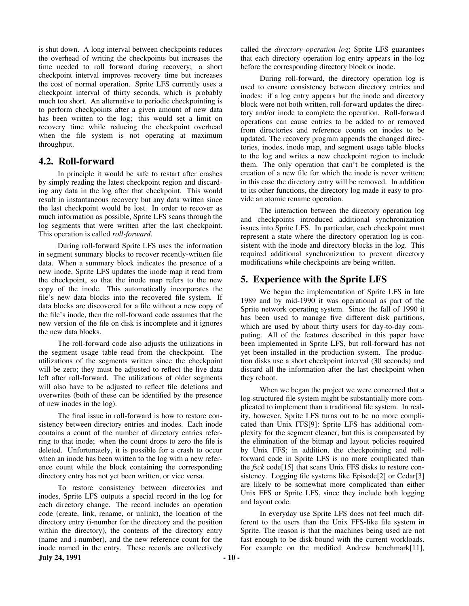is shut down. A long interval between checkpoints reduces the overhead of writing the checkpoints but increases the time needed to roll forward during recovery; a short checkpoint interval improves recovery time but increases the cost of normal operation. Sprite LFS currently uses a checkpoint interval of thirty seconds, which is probably much too short. An alternative to periodic checkpointing is to perform checkpoints after a given amount of new data has been written to the log; this would set a limit on recovery time while reducing the checkpoint overhead when the file system is not operating at maximum throughput.

#### **4.2. Roll-forward**

In principle it would be safe to restart after crashes by simply reading the latest checkpoint region and discarding any data in the log after that checkpoint. This would result in instantaneous recovery but any data written since the last checkpoint would be lost. In order to recover as much information as possible, Sprite LFS scans through the log segments that were written after the last checkpoint. This operation is called *roll-forward*.

During roll-forward Sprite LFS uses the information in segment summary blocks to recover recently-written file data. When a summary block indicates the presence of a new inode, Sprite LFS updates the inode map it read from the checkpoint, so that the inode map refers to the new copy of the inode. This automatically incorporates the file's new data blocks into the recovered file system. If data blocks are discovered for a file without a new copy of the file's inode, then the roll-forward code assumes that the new version of the file on disk is incomplete and it ignores the new data blocks.

The roll-forward code also adjusts the utilizations in the segment usage table read from the checkpoint. The utilizations of the segments written since the checkpoint will be zero; they must be adjusted to reflect the live data left after roll-forward. The utilizations of older segments will also have to be adjusted to reflect file deletions and overwrites (both of these can be identified by the presence of new inodes in the log).

The final issue in roll-forward is how to restore consistency between directory entries and inodes. Each inode contains a count of the number of directory entries referring to that inode; when the count drops to zero the file is deleted. Unfortunately, it is possible for a crash to occur when an inode has been written to the log with a new reference count while the block containing the corresponding directory entry has not yet been written, or vice versa.

To restore consistency between directories and inodes, Sprite LFS outputs a special record in the log for each directory change. The record includes an operation code (create, link, rename, or unlink), the location of the directory entry (i-number for the directory and the position within the directory), the contents of the directory entry (name and i-number), and the new reference count for the inode named in the entry. These records are collectively **July 24, 1991 - 10 -**

called the *directory operation log*; Sprite LFS guarantees that each directory operation log entry appears in the log before the corresponding directory block or inode.

During roll-forward, the directory operation log is used to ensure consistency between directory entries and inodes: if a log entry appears but the inode and directory block were not both written, roll-forward updates the directory and/or inode to complete the operation. Roll-forward operations can cause entries to be added to or removed from directories and reference counts on inodes to be updated. The recovery program appends the changed directories, inodes, inode map, and segment usage table blocks to the log and writes a new checkpoint region to include them. The only operation that can't be completed is the creation of a new file for which the inode is never written; in this case the directory entry will be removed. In addition to its other functions, the directory log made it easy to provide an atomic rename operation.

The interaction between the directory operation log and checkpoints introduced additional synchronization issues into Sprite LFS. In particular, each checkpoint must represent a state where the directory operation log is consistent with the inode and directory blocks in the log. This required additional synchronization to prevent directory modifications while checkpoints are being written.

#### **5. Experience with the Sprite LFS**

We began the implementation of Sprite LFS in late 1989 and by mid-1990 it was operational as part of the Sprite network operating system. Since the fall of 1990 it has been used to manage five different disk partitions, which are used by about thirty users for day-to-day computing. All of the features described in this paper have been implemented in Sprite LFS, but roll-forward has not yet been installed in the production system. The production disks use a short checkpoint interval (30 seconds) and discard all the information after the last checkpoint when they reboot.

When we began the project we were concerned that a log-structured file system might be substantially more complicated to implement than a traditional file system. In reality, however, Sprite LFS turns out to be no more complicated than Unix FFS[9]: Sprite LFS has additional complexity for the segment cleaner, but this is compensated by the elimination of the bitmap and layout policies required by Unix FFS; in addition, the checkpointing and rollforward code in Sprite LFS is no more complicated than the *fsck* code[15] that scans Unix FFS disks to restore consistency. Logging file systems like Episode[2] or Cedar[3] are likely to be somewhat more complicated than either Unix FFS or Sprite LFS, since they include both logging and layout code.

In everyday use Sprite LFS does not feel much different to the users than the Unix FFS-like file system in Sprite. The reason is that the machines being used are not fast enough to be disk-bound with the current workloads. For example on the modified Andrew benchmark[11],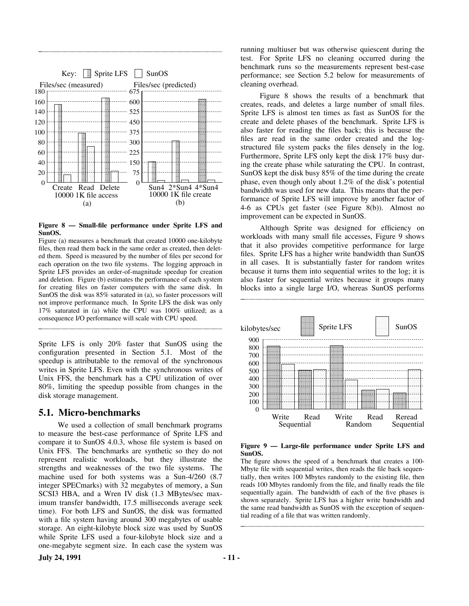

**Figure 8 — Small-file performance under Sprite LFS and SunOS.**

Figure (a) measures a benchmark that created 10000 one-kilobyte files, then read them back in the same order as created, then deleted them. Speed is measured by the number of files per second for each operation on the two file systems. The logging approach in Sprite LFS provides an order-of-magnitude speedup for creation and deletion. Figure (b) estimates the performance of each system for creating files on faster computers with the same disk. In SunOS the disk was 85% saturated in (a), so faster processors will not improve performance much. In Sprite LFS the disk was only 17% saturated in (a) while the CPU was 100% utilized; as a consequence I/O performance will scale with CPU speed.

Sprite LFS is only 20% faster that SunOS using the configuration presented in Section 5.1. Most of the speedup is attributable to the removal of the synchronous writes in Sprite LFS. Even with the synchronous writes of Unix FFS, the benchmark has a CPU utilization of over 80%, limiting the speedup possible from changes in the disk storage management.

#### **5.1. Micro-benchmarks**

We used a collection of small benchmark programs to measure the best-case performance of Sprite LFS and compare it to SunOS 4.0.3, whose file system is based on Unix FFS. The benchmarks are synthetic so they do not represent realistic workloads, but they illustrate the strengths and weaknesses of the two file systems. The machine used for both systems was a Sun-4/260 (8.7 integer SPECmarks) with 32 megabytes of memory, a Sun SCSI3 HBA, and a Wren IV disk (1.3 MBytes/sec maximum transfer bandwidth, 17.5 milliseconds average seek time). For both LFS and SunOS, the disk was formatted with a file system having around 300 megabytes of usable storage. An eight-kilobyte block size was used by SunOS while Sprite LFS used a four-kilobyte block size and a one-megabyte segment size. In each case the system was

running multiuser but was otherwise quiescent during the test. For Sprite LFS no cleaning occurred during the benchmark runs so the measurements represent best-case performance; see Section 5.2 below for measurements of cleaning overhead.

Figure 8 shows the results of a benchmark that creates, reads, and deletes a large number of small files. Sprite LFS is almost ten times as fast as SunOS for the create and delete phases of the benchmark. Sprite LFS is also faster for reading the files back; this is because the files are read in the same order created and the logstructured file system packs the files densely in the log. Furthermore, Sprite LFS only kept the disk 17% busy during the create phase while saturating the CPU. In contrast, SunOS kept the disk busy 85% of the time during the create phase, even though only about 1.2% of the disk's potential bandwidth was used for new data. This means that the performance of Sprite LFS will improve by another factor of 4-6 as CPUs get faster (see Figure 8(b)). Almost no improvement can be expected in SunOS.

Although Sprite was designed for efficiency on workloads with many small file accesses, Figure 9 shows that it also provides competitive performance for large files. Sprite LFS has a higher write bandwidth than SunOS in all cases. It is substantially faster for random writes because it turns them into sequential writes to the log; it is also faster for sequential writes because it groups many blocks into a single large I/O, whereas SunOS performs

<u> 2008 - Jan James James James James James James James James James James James James James James James James J</u>



**Figure 9 — Large-file performance under Sprite LFS and SunOS.**

The figure shows the speed of a benchmark that creates a 100- Mbyte file with sequential writes, then reads the file back sequentially, then writes 100 Mbytes randomly to the existing file, then reads 100 Mbytes randomly from the file, and finally reads the file sequentially again. The bandwidth of each of the five phases is shown separately. Sprite LFS has a higher write bandwidth and the same read bandwidth as SunOS with the exception of sequential reading of a file that was written randomly.

<u> 2000 - Jan James James Jan James James James James James James James James James James James James James Jam</u>

#### **July 24, 1991** - 11 -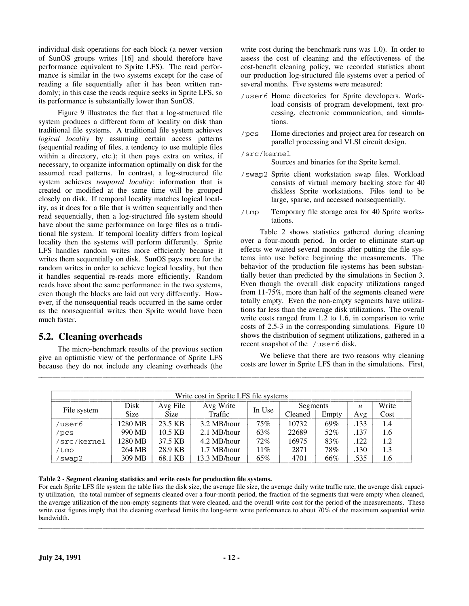individual disk operations for each block (a newer version of SunOS groups writes [16] and should therefore have performance equivalent to Sprite LFS). The read performance is similar in the two systems except for the case of reading a file sequentially after it has been written randomly; in this case the reads require seeks in Sprite LFS, so its performance is substantially lower than SunOS.

Figure 9 illustrates the fact that a log-structured file system produces a different form of locality on disk than traditional file systems. A traditional file system achieves *logical locality* by assuming certain access patterns (sequential reading of files, a tendency to use multiple files within a directory, etc.); it then pays extra on writes, if necessary, to organize information optimally on disk for the assumed read patterns. In contrast, a log-structured file system achieves *temporal locality*: information that is created or modified at the same time will be grouped closely on disk. If temporal locality matches logical locality, as it does for a file that is written sequentially and then read sequentially, then a log-structured file system should have about the same performance on large files as a traditional file system. If temporal locality differs from logical locality then the systems will perform differently. Sprite LFS handles random writes more efficiently because it writes them sequentially on disk. SunOS pays more for the random writes in order to achieve logical locality, but then it handles sequential re-reads more efficiently. Random reads have about the same performance in the two systems, even though the blocks are laid out very differently. However, if the nonsequential reads occurred in the same order as the nonsequential writes then Sprite would have been much faster.

# **5.2. Cleaning overheads**

The micro-benchmark results of the previous section give an optimistic view of the performance of Sprite LFS because they do not include any cleaning overheads (the write cost during the benchmark runs was 1.0). In order to assess the cost of cleaning and the effectiveness of the cost-benefit cleaning policy, we recorded statistics about our production log-structured file systems over a period of several months. Five systems were measured:

- /user6 Home directories for Sprite developers. Workload consists of program development, text processing, electronic communication, and simulations.
- /pcs Home directories and project area for research on parallel processing and VLSI circuit design.
- /src/kernel

Sources and binaries for the Sprite kernel.

- /swap2 Sprite client workstation swap files. Workload consists of virtual memory backing store for 40 diskless Sprite workstations. Files tend to be large, sparse, and accessed nonsequentially.
- /tmp Temporary file storage area for 40 Sprite workstations.

Table 2 shows statistics gathered during cleaning over a four-month period. In order to eliminate start-up effects we waited several months after putting the file systems into use before beginning the measurements. The behavior of the production file systems has been substantially better than predicted by the simulations in Section 3. Even though the overall disk capacity utilizations ranged from 11-75%, more than half of the segments cleaned were totally empty. Even the non-empty segments have utilizations far less than the average disk utilizations. The overall write costs ranged from 1.2 to 1.6, in comparison to write costs of 2.5-3 in the corresponding simulations. Figure 10 shows the distribution of segment utilizations, gathered in a recent snapshot of the /user6 disk.

We believe that there are two reasons why cleaning costs are lower in Sprite LFS than in the simulations. First,

| Write cost in Sprite LFS file systems |             |             |              |        |          |       |      |       |
|---------------------------------------|-------------|-------------|--------------|--------|----------|-------|------|-------|
| File system                           | Disk        | Avg File    | Avg Write    | In Use | Segments |       | u    | Write |
|                                       | <b>Size</b> | <b>Size</b> | Traffic      |        | Cleaned  | Empty | Avg  | Cost  |
| /user6                                | 1280 MB     | 23.5 KB     | 3.2 MB/hour  | 75%    | 10732    | 69%   | .133 | 1.4   |
| /pcs                                  | 990 MB      | 10.5 KB     | 2.1 MB/hour  | 63%    | 22689    | 52%   | .137 | 1.6   |
| src/kernel/                           | 1280 MB     | 37.5 KB     | 4.2 MB/hour  | 72%    | 16975    | 83%   | .122 | 1.2   |
| /tmp                                  | 264 MB      | 28.9 KB     | 1.7 MB/hour  | $11\%$ | 2871     | 78%   | .130 | 1.3   |
| $^\prime$ swap $2$                    | 309 MB      | 68.1 KB     | 13.3 MB/hour | 65%    | 4701     | 66%   | .535 | 1.6   |

#### **Table 2 - Segment cleaning statistics and write costs for production file systems.**

For each Sprite LFS file system the table lists the disk size, the average file size, the average daily write traffic rate, the average disk capacity utilization, the total number of segments cleaned over a four-month period, the fraction of the segments that were empty when cleaned, the average utilization of the non-empty segments that were cleaned, and the overall write cost for the period of the measurements. These write cost figures imply that the cleaning overhead limits the long-term write performance to about 70% of the maximum sequential write bandwidth.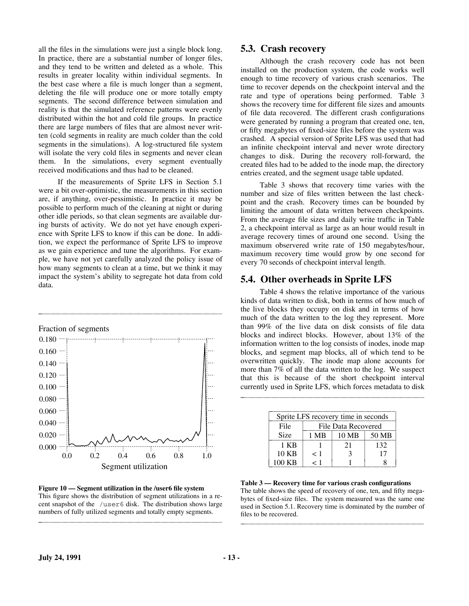all the files in the simulations were just a single block long. In practice, there are a substantial number of longer files, and they tend to be written and deleted as a whole. This results in greater locality within individual segments. In the best case where a file is much longer than a segment, deleting the file will produce one or more totally empty segments. The second difference between simulation and reality is that the simulated reference patterns were evenly distributed within the hot and cold file groups. In practice there are large numbers of files that are almost never written (cold segments in reality are much colder than the cold segments in the simulations). A log-structured file system will isolate the very cold files in segments and never clean them. In the simulations, every segment eventually received modifications and thus had to be cleaned.

If the measurements of Sprite LFS in Section 5.1 were a bit over-optimistic, the measurements in this section are, if anything, over-pessimistic. In practice it may be possible to perform much of the cleaning at night or during other idle periods, so that clean segments are available during bursts of activity. We do not yet have enough experience with Sprite LFS to know if this can be done. In addition, we expect the performance of Sprite LFS to improve as we gain experience and tune the algorithms. For example, we have not yet carefully analyzed the policy issue of how many segments to clean at a time, but we think it may impact the system's ability to segregate hot data from cold data.

<u> 2000 - Jan James James James James James James James James James James James James James James James James J</u>

#### Fraction of segments



**Figure 10 — Segment utilization in the /user6 file system** This figure shows the distribution of segment utilizations in a recent snapshot of the /user6 disk. The distribution shows large numbers of fully utilized segments and totally empty segments. <u> 2000 - Jan James James James James James James James James James James James James James James James James J</u>

#### **5.3. Crash recovery**

Although the crash recovery code has not been installed on the production system, the code works well enough to time recovery of various crash scenarios. The time to recover depends on the checkpoint interval and the rate and type of operations being performed. Table 3 shows the recovery time for different file sizes and amounts of file data recovered. The different crash configurations were generated by running a program that created one, ten, or fifty megabytes of fixed-size files before the system was crashed. A special version of Sprite LFS was used that had an infinite checkpoint interval and never wrote directory changes to disk. During the recovery roll-forward, the created files had to be added to the inode map, the directory entries created, and the segment usage table updated.

Table 3 shows that recovery time varies with the number and size of files written between the last checkpoint and the crash. Recovery times can be bounded by limiting the amount of data written between checkpoints. From the average file sizes and daily write traffic in Table 2, a checkpoint interval as large as an hour would result in average recovery times of around one second. Using the maximum observered write rate of 150 megabytes/hour, maximum recovery time would grow by one second for every 70 seconds of checkpoint interval length.

#### **5.4. Other overheads in Sprite LFS**

Table 4 shows the relative importance of the various kinds of data written to disk, both in terms of how much of the live blocks they occupy on disk and in terms of how much of the data written to the log they represent. More than 99% of the live data on disk consists of file data blocks and indirect blocks. However, about 13% of the information written to the log consists of inodes, inode map blocks, and segment map blocks, all of which tend to be overwritten quickly. The inode map alone accounts for more than 7% of all the data written to the log. We suspect that this is because of the short checkpoint interval currently used in Sprite LFS, which forces metadata to disk

| Sprite LFS recovery time in seconds |                     |       |       |  |  |
|-------------------------------------|---------------------|-------|-------|--|--|
| File                                | File Data Recovered |       |       |  |  |
| Size                                | 1 MB                | 10 MB | 50 MB |  |  |
| 1 KB                                |                     | 21    | 132   |  |  |
| <b>10 KB</b>                        | < 1                 |       | 17    |  |  |
| 100 KB                              | < 1                 |       |       |  |  |

<u> 2008 - Jan James James James James James James James James James James James James James James James James J</u>

**Table 3 — Recovery time for various crash configurations**

The table shows the speed of recovery of one, ten, and fifty megabytes of fixed-size files. The system measured was the same one used in Section 5.1. Recovery time is dominated by the number of files to be recovered.

<u> La componenta de la componenta de la componenta de la componenta de la componenta de la componenta de la comp</u>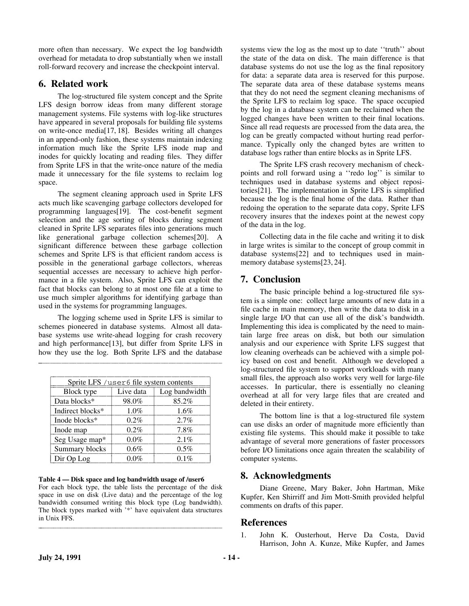more often than necessary. We expect the log bandwidth overhead for metadata to drop substantially when we install roll-forward recovery and increase the checkpoint interval.

# **6. Related work**

The log-structured file system concept and the Sprite LFS design borrow ideas from many different storage management systems. File systems with log-like structures have appeared in several proposals for building file systems on write-once media[17, 18]. Besides writing all changes in an append-only fashion, these systems maintain indexing information much like the Sprite LFS inode map and inodes for quickly locating and reading files. They differ from Sprite LFS in that the write-once nature of the media made it unnecessary for the file systems to reclaim log space.

The segment cleaning approach used in Sprite LFS acts much like scavenging garbage collectors developed for programming languages[19]. The cost-benefit segment selection and the age sorting of blocks during segment cleaned in Sprite LFS separates files into generations much like generational garbage collection schemes[20]. A significant difference between these garbage collection schemes and Sprite LFS is that efficient random access is possible in the generational garbage collectors, whereas sequential accesses are necessary to achieve high performance in a file system. Also, Sprite LFS can exploit the fact that blocks can belong to at most one file at a time to use much simpler algorithms for identifying garbage than used in the systems for programming languages.

The logging scheme used in Sprite LFS is similar to schemes pioneered in database systems. Almost all database systems use write-ahead logging for crash recovery and high performance[13], but differ from Sprite LFS in how they use the log. Both Sprite LFS and the database

<u> 2008 - Jan James James James James James James James James James James James James James James James James J</u>

| Sprite LFS / user 6 file system contents |           |               |  |  |  |
|------------------------------------------|-----------|---------------|--|--|--|
| <b>Block</b> type                        | Live data | Log bandwidth |  |  |  |
| Data blocks*                             | 98.0%     | 85.2%         |  |  |  |
| Indirect blocks*                         | 1.0%      | 1.6%          |  |  |  |
| Inode blocks*                            | 0.2%      | 2.7%          |  |  |  |
| Inode map                                | 0.2%      | 7.8%          |  |  |  |
| Seg Usage map*                           | $0.0\%$   | 2.1%          |  |  |  |
| Summary blocks                           | 0.6%      | $0.5\%$       |  |  |  |
| Dir Op Log                               | $0.0\%$   | 0.1%          |  |  |  |

#### **Table 4 — Disk space and log bandwidth usage of /user6**

For each block type, the table lists the percentage of the disk space in use on disk (Live data) and the percentage of the log bandwidth consumed writing this block type (Log bandwidth). The block types marked with '\*' have equivalent data structures in Unix FFS.

<u> La componenta de la componenta de la componenta de la componenta de la componenta de la componenta de la comp</u>

systems view the log as the most up to date ''truth'' about the state of the data on disk. The main difference is that database systems do not use the log as the final repository for data: a separate data area is reserved for this purpose. The separate data area of these database systems means that they do not need the segment cleaning mechanisms of the Sprite LFS to reclaim log space. The space occupied by the log in a database system can be reclaimed when the logged changes have been written to their final locations. Since all read requests are processed from the data area, the log can be greatly compacted without hurting read performance. Typically only the changed bytes are written to database logs rather than entire blocks as in Sprite LFS.

The Sprite LFS crash recovery mechanism of checkpoints and roll forward using a ''redo log'' is similar to techniques used in database systems and object repositories[21]. The implementation in Sprite LFS is simplified because the log is the final home of the data. Rather than redoing the operation to the separate data copy, Sprite LFS recovery insures that the indexes point at the newest copy of the data in the log.

Collecting data in the file cache and writing it to disk in large writes is similar to the concept of group commit in database systems[22] and to techniques used in mainmemory database systems[23, 24].

### **7. Conclusion**

The basic principle behind a log-structured file system is a simple one: collect large amounts of new data in a file cache in main memory, then write the data to disk in a single large I/O that can use all of the disk's bandwidth. Implementing this idea is complicated by the need to maintain large free areas on disk, but both our simulation analysis and our experience with Sprite LFS suggest that low cleaning overheads can be achieved with a simple policy based on cost and benefit. Although we developed a log-structured file system to support workloads with many small files, the approach also works very well for large-file accesses. In particular, there is essentially no cleaning overhead at all for very large files that are created and deleted in their entirety.

The bottom line is that a log-structured file system can use disks an order of magnitude more efficiently than existing file systems. This should make it possible to take advantage of several more generations of faster processors before I/O limitations once again threaten the scalability of computer systems.

### **8. Acknowledgments**

Diane Greene, Mary Baker, John Hartman, Mike Kupfer, Ken Shirriff and Jim Mott-Smith provided helpful comments on drafts of this paper.

### **References**

1. John K. Ousterhout, Herve Da Costa, David Harrison, John A. Kunze, Mike Kupfer, and James